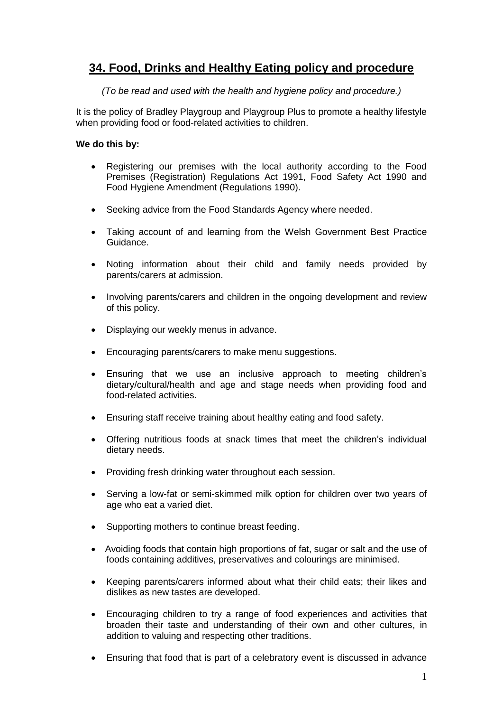## **34. Food, Drinks and Healthy Eating policy and procedure**

*(To be read and used with the health and hygiene policy and procedure.)*

It is the policy of Bradley Playgroup and Playgroup Plus to promote a healthy lifestyle when providing food or food-related activities to children.

## **We do this by:**

- Registering our premises with the local authority according to the Food Premises (Registration) Regulations Act 1991, Food Safety Act 1990 and Food Hygiene Amendment (Regulations 1990).
- Seeking advice from the Food Standards Agency where needed.
- Taking account of and learning from the Welsh Government Best Practice Guidance.
- Noting information about their child and family needs provided by parents/carers at admission.
- Involving parents/carers and children in the ongoing development and review of this policy.
- Displaying our weekly menus in advance.
- Encouraging parents/carers to make menu suggestions.
- Ensuring that we use an inclusive approach to meeting children's dietary/cultural/health and age and stage needs when providing food and food-related activities.
- Ensuring staff receive training about healthy eating and food safety.
- Offering nutritious foods at snack times that meet the children's individual dietary needs.
- Providing fresh drinking water throughout each session.
- Serving a low-fat or semi-skimmed milk option for children over two years of age who eat a varied diet.
- Supporting mothers to continue breast feeding.
- Avoiding foods that contain high proportions of fat, sugar or salt and the use of foods containing additives, preservatives and colourings are minimised.
- Keeping parents/carers informed about what their child eats; their likes and dislikes as new tastes are developed.
- Encouraging children to try a range of food experiences and activities that broaden their taste and understanding of their own and other cultures, in addition to valuing and respecting other traditions.
- Ensuring that food that is part of a celebratory event is discussed in advance